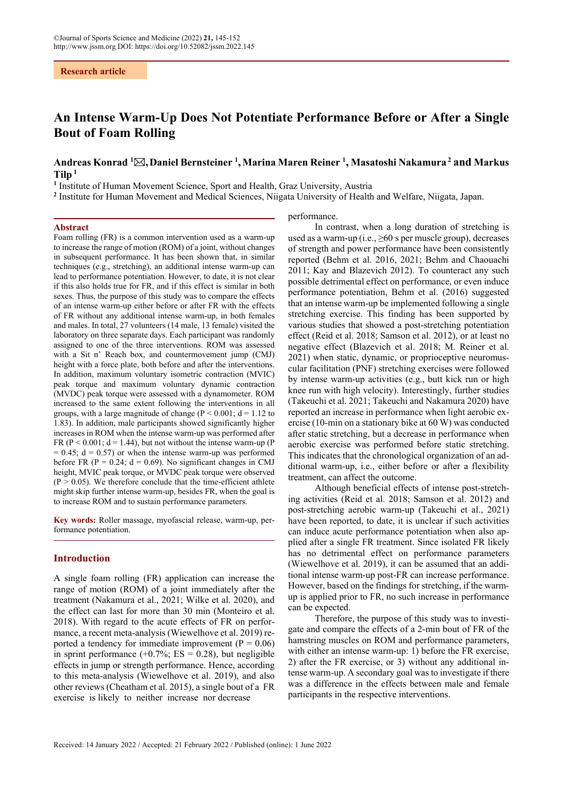**Research article**

# **An Intense Warm-Up Does Not Potentiate Performance Before or After a Single Bout of Foam Rolling**

# **Andreas Konrad <sup>1</sup> ,Daniel Bernsteiner <sup>1</sup> ,Marina Maren Reiner <sup>1</sup> , Masatoshi Nakamura 2 and Markus**   $Tilp<sup>1</sup>$

<sup>1</sup> Institute of Human Movement Science, Sport and Health, Graz University, Austria

**2** Institute for Human Movement and Medical Sciences, Niigata University of Health and Welfare, Niigata, Japan.

#### **Abstract**

Foam rolling (FR) is a common intervention used as a warm-up to increase the range of motion (ROM) of a joint, without changes in subsequent performance. It has been shown that, in similar techniques (e.g., stretching), an additional intense warm-up can lead to performance potentiation. However, to date, it is not clear if this also holds true for FR, and if this effect is similar in both sexes. Thus, the purpose of this study was to compare the effects of an intense warm-up either before or after FR with the effects of FR without any additional intense warm-up, in both females and males. In total, 27 volunteers (14 male, 13 female) visited the laboratory on three separate days. Each participant was randomly assigned to one of the three interventions. ROM was assessed with a Sit n' Reach box, and countermovement jump (CMJ) height with a force plate, both before and after the interventions. In addition, maximum voluntary isometric contraction (MVIC) peak torque and maximum voluntary dynamic contraction (MVDC) peak torque were assessed with a dynamometer. ROM increased to the same extent following the interventions in all groups, with a large magnitude of change ( $P < 0.001$ ;  $d = 1.12$  to 1.83). In addition, male participants showed significantly higher increases in ROM when the intense warm-up was performed after FR ( $P < 0.001$ ;  $d = 1.44$ ), but not without the intense warm-up ( $P$ )  $= 0.45$ ;  $d = 0.57$ ) or when the intense warm-up was performed before FR ( $P = 0.24$ ;  $d = 0.69$ ). No significant changes in CMJ height, MVIC peak torque, or MVDC peak torque were observed  $(P > 0.05)$ . We therefore conclude that the time-efficient athlete might skip further intense warm-up, besides FR, when the goal is to increase ROM and to sustain performance parameters.

**Key words:** Roller massage, myofascial release, warm-up, performance potentiation.

# **Introduction**

A single foam rolling (FR) application can increase the range of motion (ROM) of a joint immediately after the treatment (Nakamura et al., 2021; Wilke et al. 2020), and the effect can last for more than 30 min (Monteiro et al. 2018). With regard to the acute effects of FR on performance, a recent meta-analysis (Wiewelhove et al. 2019) reported a tendency for immediate improvement ( $P = 0.06$ ) in sprint performance  $(+0.7\%; ES = 0.28)$ , but negligible effects in jump or strength performance. Hence, according to this meta-analysis (Wiewelhove et al. 2019), and also other reviews (Cheatham et al. 2015), a single bout of a FR exercise is likely to neither increase nor decrease

performance.

In contrast, when a long duration of stretching is used as a warm-up (i.e.,  $\geq 60$  s per muscle group), decreases of strength and power performance have been consistently reported (Behm et al. 2016, 2021; Behm and Chaouachi 2011; Kay and Blazevich 2012). To counteract any such possible detrimental effect on performance, or even induce performance potentiation, Behm et al. (2016) suggested that an intense warm-up be implemented following a single stretching exercise. This finding has been supported by various studies that showed a post-stretching potentiation effect (Reid et al. 2018; Samson et al. 2012), or at least no negative effect (Blazevich et al. 2018; M. Reiner et al. 2021) when static, dynamic, or proprioceptive neuromuscular facilitation (PNF) stretching exercises were followed by intense warm-up activities (e.g., butt kick run or high knee run with high velocity). Interestingly, further studies (Takeuchi et al. 2021; Takeuchi and Nakamura 2020) have reported an increase in performance when light aerobic exercise (10-min on a stationary bike at 60 W) was conducted after static stretching, but a decrease in performance when aerobic exercise was performed before static stretching. This indicates that the chronological organization of an additional warm-up, i.e., either before or after a flexibility treatment, can affect the outcome.

Although beneficial effects of intense post-stretching activities (Reid et al. 2018; Samson et al. 2012) and post-stretching aerobic warm-up (Takeuchi et al., 2021) have been reported, to date, it is unclear if such activities can induce acute performance potentiation when also applied after a single FR treatment. Since isolated FR likely has no detrimental effect on performance parameters (Wiewelhove et al. 2019), it can be assumed that an additional intense warm-up post-FR can increase performance. However, based on the findings for stretching, if the warmup is applied prior to FR, no such increase in performance can be expected.

Therefore, the purpose of this study was to investigate and compare the effects of a 2-min bout of FR of the hamstring muscles on ROM and performance parameters, with either an intense warm-up: 1) before the FR exercise, 2) after the FR exercise, or 3) without any additional intense warm-up. A secondary goal was to investigate if there was a difference in the effects between male and female participants in the respective interventions.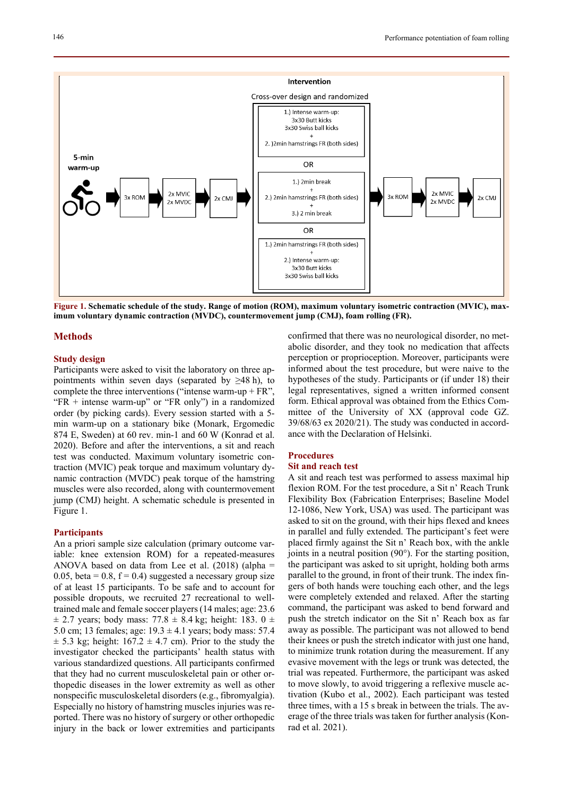

**Figure 1. Schematic schedule of the study. Range of motion (ROM), maximum voluntary isometric contraction (MVIC), maximum voluntary dynamic contraction (MVDC), countermovement jump (CMJ), foam rolling (FR).** 

## **Methods**

#### **Study design**

Participants were asked to visit the laboratory on three appointments within seven days (separated by  $\geq 48$  h), to complete the three interventions ("intense warm-up  $+ FR$ ", " $FR$  + intense warm-up" or " $FR$  only") in a randomized order (by picking cards). Every session started with a 5 min warm-up on a stationary bike (Monark, Ergomedic 874 E, Sweden) at 60 rev. min-1 and 60 W (Konrad et al. 2020). Before and after the interventions, a sit and reach test was conducted. Maximum voluntary isometric contraction (MVIC) peak torque and maximum voluntary dynamic contraction (MVDC) peak torque of the hamstring muscles were also recorded, along with countermovement jump (CMJ) height. A schematic schedule is presented in Figure 1.

### **Participants**

An a priori sample size calculation (primary outcome variable: knee extension ROM) for a repeated-measures ANOVA based on data from Lee et al.  $(2018)$  (alpha = 0.05, beta = 0.8,  $f = 0.4$ ) suggested a necessary group size of at least 15 participants. To be safe and to account for possible dropouts, we recruited 27 recreational to welltrained male and female soccer players (14 males; age: 23.6  $\pm$  2.7 years; body mass: 77.8  $\pm$  8.4 kg; height: 183. 0  $\pm$ 5.0 cm; 13 females; age:  $19.3 \pm 4.1$  years; body mass: 57.4  $\pm$  5.3 kg; height: 167.2  $\pm$  4.7 cm). Prior to the study the investigator checked the participants' health status with various standardized questions. All participants confirmed that they had no current musculoskeletal pain or other orthopedic diseases in the lower extremity as well as other nonspecific musculoskeletal disorders (e.g., fibromyalgia). Especially no history of hamstring muscles injuries was reported. There was no history of surgery or other orthopedic injury in the back or lower extremities and participants confirmed that there was no neurological disorder, no metabolic disorder, and they took no medication that affects perception or proprioception. Moreover, participants were informed about the test procedure, but were naive to the hypotheses of the study. Participants or (if under 18) their legal representatives, signed a written informed consent form. Ethical approval was obtained from the Ethics Committee of the University of XX (approval code GZ. 39/68/63 ex 2020/21). The study was conducted in accordance with the Declaration of Helsinki.

### **Procedures**

### **Sit and reach test**

A sit and reach test was performed to assess maximal hip flexion ROM. For the test procedure, a Sit n' Reach Trunk Flexibility Box (Fabrication Enterprises; Baseline Model 12-1086, New York, USA) was used. The participant was asked to sit on the ground, with their hips flexed and knees in parallel and fully extended. The participant's feet were placed firmly against the Sit n' Reach box, with the ankle joints in a neutral position (90°). For the starting position, the participant was asked to sit upright, holding both arms parallel to the ground, in front of their trunk. The index fingers of both hands were touching each other, and the legs were completely extended and relaxed. After the starting command, the participant was asked to bend forward and push the stretch indicator on the Sit n' Reach box as far away as possible. The participant was not allowed to bend their knees or push the stretch indicator with just one hand, to minimize trunk rotation during the measurement. If any evasive movement with the legs or trunk was detected, the trial was repeated. Furthermore, the participant was asked to move slowly, to avoid triggering a reflexive muscle activation (Kubo et al., 2002). Each participant was tested three times, with a 15 s break in between the trials. The average of the three trials was taken for further analysis (Konrad et al. 2021).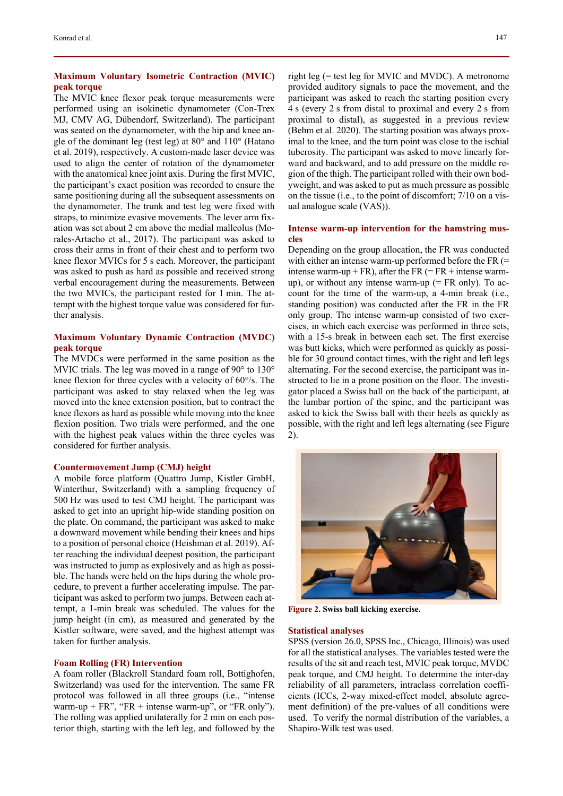# **Maximum Voluntary Isometric Contraction (MVIC) peak torque**

The MVIC knee flexor peak torque measurements were performed using an isokinetic dynamometer (Con-Trex MJ, CMV AG, Dübendorf, Switzerland). The participant was seated on the dynamometer, with the hip and knee angle of the dominant leg (test leg) at 80° and 110° (Hatano et al. 2019), respectively. A custom-made laser device was used to align the center of rotation of the dynamometer with the anatomical knee joint axis. During the first MVIC, the participant's exact position was recorded to ensure the same positioning during all the subsequent assessments on the dynamometer. The trunk and test leg were fixed with straps, to minimize evasive movements. The lever arm fixation was set about 2 cm above the medial malleolus (Morales-Artacho et al., 2017). The participant was asked to cross their arms in front of their chest and to perform two knee flexor MVICs for 5 s each. Moreover, the participant was asked to push as hard as possible and received strong verbal encouragement during the measurements. Between the two MVICs, the participant rested for 1 min. The attempt with the highest torque value was considered for further analysis.

# **Maximum Voluntary Dynamic Contraction (MVDC) peak torque**

The MVDCs were performed in the same position as the MVIC trials. The leg was moved in a range of 90° to 130° knee flexion for three cycles with a velocity of 60°/s. The participant was asked to stay relaxed when the leg was moved into the knee extension position, but to contract the knee flexors as hard as possible while moving into the knee flexion position. Two trials were performed, and the one with the highest peak values within the three cycles was considered for further analysis.

### **Countermovement Jump (CMJ) height**

A mobile force platform (Quattro Jump, Kistler GmbH, Winterthur, Switzerland) with a sampling frequency of 500 Hz was used to test CMJ height. The participant was asked to get into an upright hip-wide standing position on the plate. On command, the participant was asked to make a downward movement while bending their knees and hips to a position of personal choice (Heishman et al. 2019). After reaching the individual deepest position, the participant was instructed to jump as explosively and as high as possible. The hands were held on the hips during the whole procedure, to prevent a further accelerating impulse. The participant was asked to perform two jumps. Between each attempt, a 1-min break was scheduled. The values for the jump height (in cm), as measured and generated by the Kistler software, were saved, and the highest attempt was taken for further analysis.

## **Foam Rolling (FR) Intervention**

A foam roller (Blackroll Standard foam roll, Bottighofen, Switzerland) was used for the intervention. The same FR protocol was followed in all three groups (i.e., "intense warm-up  $+ FR$ ", "FR  $+$  intense warm-up", or "FR only"). The rolling was applied unilaterally for 2 min on each posterior thigh, starting with the left leg, and followed by the right leg (= test leg for MVIC and MVDC). A metronome provided auditory signals to pace the movement, and the participant was asked to reach the starting position every 4 s (every 2 s from distal to proximal and every 2 s from proximal to distal), as suggested in a previous review (Behm et al. 2020). The starting position was always proximal to the knee, and the turn point was close to the ischial tuberosity. The participant was asked to move linearly forward and backward, and to add pressure on the middle region of the thigh. The participant rolled with their own bodyweight, and was asked to put as much pressure as possible on the tissue (i.e., to the point of discomfort; 7/10 on a visual analogue scale (VAS)).

## **Intense warm-up intervention for the hamstring muscles**

Depending on the group allocation, the FR was conducted with either an intense warm-up performed before the FR (= intense warm-up + FR), after the FR  $(= FR + \text{intense warm-}$ up), or without any intense warm-up  $(= FR \text{ only})$ . To account for the time of the warm-up, a 4-min break (i.e., standing position) was conducted after the FR in the FR only group. The intense warm-up consisted of two exercises, in which each exercise was performed in three sets, with a 15-s break in between each set. The first exercise was butt kicks, which were performed as quickly as possible for 30 ground contact times, with the right and left legs alternating. For the second exercise, the participant was instructed to lie in a prone position on the floor. The investigator placed a Swiss ball on the back of the participant, at the lumbar portion of the spine, and the participant was asked to kick the Swiss ball with their heels as quickly as possible, with the right and left legs alternating (see Figure 2).



**Figure 2. Swiss ball kicking exercise.** 

#### **Statistical analyses**

SPSS (version 26.0, SPSS Inc., Chicago, Illinois) was used for all the statistical analyses. The variables tested were the results of the sit and reach test, MVIC peak torque, MVDC peak torque, and CMJ height. To determine the inter-day reliability of all parameters, intraclass correlation coefficients (ICCs, 2-way mixed-effect model, absolute agreement definition) of the pre-values of all conditions were used. To verify the normal distribution of the variables, a Shapiro-Wilk test was used.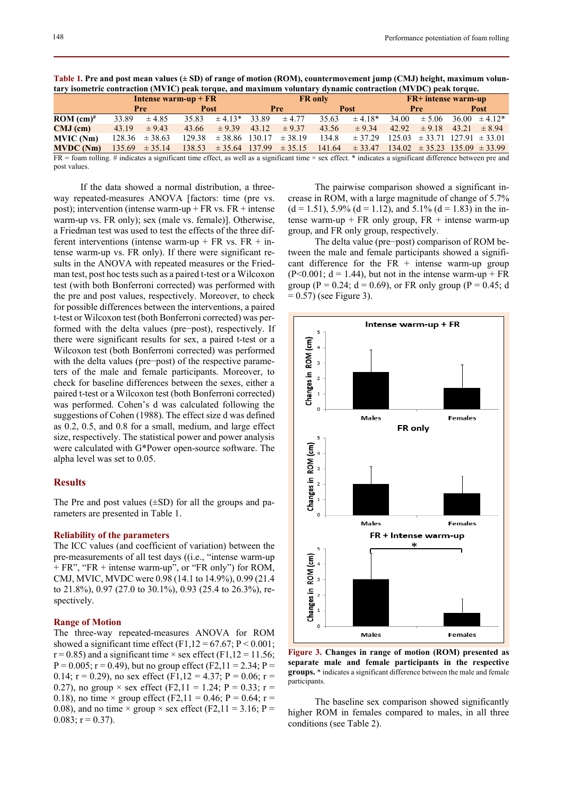|                                                                                                                                                                     | Intense warm-up $+ FR$ |                    |             |                    | <b>FR</b> only |                                       |             |                                                          | <b>FR+</b> intense warm-up |                                       |             |                    |  |
|---------------------------------------------------------------------------------------------------------------------------------------------------------------------|------------------------|--------------------|-------------|--------------------|----------------|---------------------------------------|-------------|----------------------------------------------------------|----------------------------|---------------------------------------|-------------|--------------------|--|
|                                                                                                                                                                     | Pre                    |                    | <b>Post</b> |                    | Pre            |                                       | <b>Post</b> |                                                          | <b>Pre</b>                 |                                       | <b>Post</b> |                    |  |
| ROM $(cm)^#$                                                                                                                                                        | 33.89                  | $\pm 4.85$         | 35.83       | $\pm 4.13*$        | 33.89          | $\pm$ 4.77                            | 35.63       | $\pm 4.18*$                                              | 34.00                      | $\pm$ 5.06                            |             | $36.00 \pm 4.12^*$ |  |
| $CMJ$ (cm)                                                                                                                                                          | 43.19                  | $\pm$ 9.43         | 43.66       | $\pm$ 9.39         | 43.12          | $\pm$ 9.37                            | 43.56       | $\pm$ 9.34                                               | 42.92                      | $\pm$ 9.18                            | 43.21       | $\pm$ 8.94         |  |
| MVIC (Nm)                                                                                                                                                           | 128.36                 | $\pm$ 38.63        | 129.38      | $\pm$ 38.86 130.17 |                | $\pm$ 38.19                           | 134.8       | $\pm$ 37.29                                              |                            | $125.03 \pm 33.71$ $127.91 \pm 33.01$ |             |                    |  |
| <b>MVDC</b> (Nm)                                                                                                                                                    |                        | $135.69 \pm 35.14$ |             |                    |                | $138.53 \pm 35.64$ $137.99 \pm 35.15$ |             | $141.64 \pm 33.47$ $134.02 \pm 35.23$ $135.09 \pm 33.99$ |                            |                                       |             |                    |  |
| $FR =$ foam rolling. # indicates a significant time effect, as well as a significant time $\times$ sex effect. * indicates a significant difference between pre and |                        |                    |             |                    |                |                                       |             |                                                          |                            |                                       |             |                    |  |
| post values.                                                                                                                                                        |                        |                    |             |                    |                |                                       |             |                                                          |                            |                                       |             |                    |  |

**Table 1. Pre and post mean values (± SD) of range of motion (ROM), countermovement jump (CMJ) height, maximum voluntary isometric contraction (MVIC) peak torque, and maximum voluntary dynamic contraction (MVDC) peak torque.** 

If the data showed a normal distribution, a threeway repeated-measures ANOVA [factors: time (pre vs. post); intervention (intense warm-up  $+ FR$  vs.  $FR +$  intense warm-up vs. FR only); sex (male vs. female)]. Otherwise, a Friedman test was used to test the effects of the three different interventions (intense warm-up + FR vs.  $FR + in$ tense warm-up vs. FR only). If there were significant results in the ANOVA with repeated measures or the Friedman test, post hoc tests such as a paired t-test or a Wilcoxon test (with both Bonferroni corrected) was performed with the pre and post values, respectively. Moreover, to check for possible differences between the interventions, a paired t-test or Wilcoxon test (both Bonferroni corrected) was performed with the delta values (pre−post), respectively. If there were significant results for sex, a paired t-test or a Wilcoxon test (both Bonferroni corrected) was performed with the delta values (pre−post) of the respective parameters of the male and female participants. Moreover, to check for baseline differences between the sexes, either a paired t-test or a Wilcoxon test (both Bonferroni corrected) was performed. Cohen's d was calculated following the suggestions of Cohen (1988). The effect size d was defined as 0.2, 0.5, and 0.8 for a small, medium, and large effect size, respectively. The statistical power and power analysis were calculated with G\*Power open-source software. The alpha level was set to 0.05.

## **Results**

The Pre and post values  $(\pm SD)$  for all the groups and parameters are presented in Table 1.

## **Reliability of the parameters**

The ICC values (and coefficient of variation) between the pre-measurements of all test days ((i.e., "intense warm-up + FR", "FR + intense warm-up", or "FR only") for ROM, CMJ, MVIC, MVDC were 0.98 (14.1 to 14.9%), 0.99 (21.4 to 21.8%), 0.97 (27.0 to 30.1%), 0.93 (25.4 to 26.3%), respectively.

#### **Range of Motion**

The three-way repeated-measures ANOVA for ROM showed a significant time effect  $(F1, 12 = 67.67; P < 0.001;$  $r = 0.85$ ) and a significant time  $\times$  sex effect (F1,12 = 11.56;  $P = 0.005$ ;  $r = 0.49$ ), but no group effect (F2,11 = 2.34; P = 0.14;  $r = 0.29$ ), no sex effect (F1,12 = 4.37; P = 0.06;  $r =$ 0.27), no group  $\times$  sex effect (F2,11 = 1.24; P = 0.33; r = 0.18), no time  $\times$  group effect (F2,11 = 0.46; P = 0.64; r = 0.08), and no time  $\times$  group  $\times$  sex effect (F2,11 = 3.16; P =  $0.083$ ; r = 0.37).

The pairwise comparison showed a significant increase in ROM, with a large magnitude of change of 5.7%  $(d = 1.51)$ , 5.9%  $(d = 1.12)$ , and 5.1%  $(d = 1.83)$  in the intense warm-up + FR only group,  $FR$  + intense warm-up group, and FR only group, respectively.

The delta value (pre−post) comparison of ROM between the male and female participants showed a significant difference for the  $FR +$  intense warm-up group  $(P<0.001; d = 1.44)$ , but not in the intense warm-up + FR group (P = 0.24; d = 0.69), or FR only group (P = 0.45; d  $= 0.57$ ) (see Figure 3).



**Figure 3. Changes in range of motion (ROM) presented as separate male and female participants in the respective groups.** \* indicates a significant difference between the male and female participants.

The baseline sex comparison showed significantly higher ROM in females compared to males, in all three conditions (see Table 2).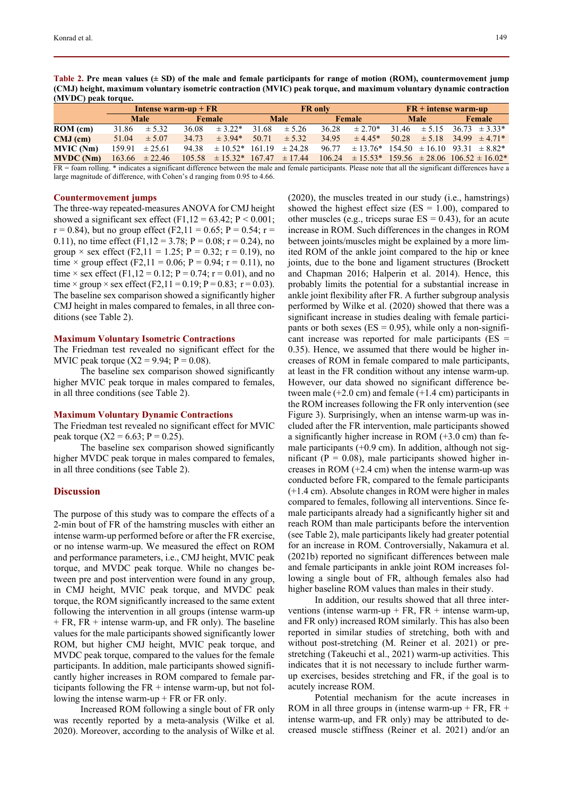**Table 2. Pre mean values (± SD) of the male and female participants for range of motion (ROM), countermovement jump (CMJ) height, maximum voluntary isometric contraction (MVIC) peak torque, and maximum voluntary dynamic contraction (MVDC) peak torque.** 

|                                                                                                                                                                                                                                                                           | Intense warm-up $+ FR$ |                    |        |                                         | <b>FR</b> only |            |        |                                                              | $FR + intense warm-up$ |            |        |                               |
|---------------------------------------------------------------------------------------------------------------------------------------------------------------------------------------------------------------------------------------------------------------------------|------------------------|--------------------|--------|-----------------------------------------|----------------|------------|--------|--------------------------------------------------------------|------------------------|------------|--------|-------------------------------|
|                                                                                                                                                                                                                                                                           | <b>Male</b>            |                    | Female |                                         | <b>Male</b>    |            | Female |                                                              | <b>Male</b>            |            | Female |                               |
| ROM (cm)                                                                                                                                                                                                                                                                  | 31.86                  | ± 5.32             | 36.08  | $\pm$ 3.22*                             | 31.68          | ± 5.26     | 36.28  | $\pm 2.70*$                                                  | 31.46                  | $\pm$ 5.15 |        | $36.73 \pm 3.33^*$            |
| $CMJ$ (cm)                                                                                                                                                                                                                                                                | 51.04                  | $\pm$ 5.07         | 34.73  | $± 3.94*$                               | 50.71          | $\pm$ 5.32 | 34.95  | $\pm$ 4.45*                                                  | 50.28                  |            |        | $\pm 5.18$ 34.99 $\pm 4.71$ * |
| MVIC (Nm)                                                                                                                                                                                                                                                                 | 159.91                 | $\pm 25.61$        | 94.38  | $\pm 10.52^*$ 161.19 $\pm 24.28$        |                |            | 96.77  | $\pm$ 13.76* 154.50 $\pm$ 16.10 93.31 $\pm$ 8.82*            |                        |            |        |                               |
| <b>MVDC</b> (Nm)                                                                                                                                                                                                                                                          |                        | $163.66 \pm 22.46$ |        | $105.58 \pm 15.32 \pm 167.47 \pm 17.44$ |                |            |        | $106.24 \pm 15.53$ * 159.56 $\pm 28.06$ 106.52 $\pm 16.02$ * |                        |            |        |                               |
| $\mathbf{m} = \mathbf{r}$ , and the $\ast$ indicates the figure of $\mathbf{r}$ and all and all $\mathbf{r}$ and all $\mathbf{r}$ and $\mathbf{r}$ and $\mathbf{r}$ and $\mathbf{r}$ and $\mathbf{r}$ and $\mathbf{r}$ and $\mathbf{r}$ and $\mathbf{r}$ and $\mathbf{r}$ |                        |                    |        |                                         |                |            |        |                                                              |                        |            |        |                               |

FR = foam rolling. \* indicates a significant difference between the male and female participants. Please note that all the significant differences have a large magnitude of difference, with Cohen's d ranging from 0.95 to 4.66.

#### **Countermovement jumps**

The three-way repeated-measures ANOVA for CMJ height showed a significant sex effect (F1,12 = 63.42;  $P < 0.001$ ;  $r = 0.84$ ), but no group effect (F2,11 = 0.65; P = 0.54; r = 0.11), no time effect (F1,12 = 3.78; P = 0.08; r = 0.24), no group  $\times$  sex effect (F2,11 = 1.25; P = 0.32; r = 0.19), no time  $\times$  group effect (F2,11 = 0.06; P = 0.94; r = 0.11), no time  $\times$  sex effect (F1,12 = 0.12; P = 0.74; r = 0.01), and no time × group × sex effect (F2,11 = 0.19; P = 0.83; r = 0.03). The baseline sex comparison showed a significantly higher CMJ height in males compared to females, in all three conditions (see Table 2).

#### **Maximum Voluntary Isometric Contractions**

The Friedman test revealed no significant effect for the MVIC peak torque  $(X2 = 9.94; P = 0.08)$ .

The baseline sex comparison showed significantly higher MVIC peak torque in males compared to females, in all three conditions (see Table 2).

#### **Maximum Voluntary Dynamic Contractions**

The Friedman test revealed no significant effect for MVIC peak torque (X2 = 6.63; P = 0.25).

The baseline sex comparison showed significantly higher MVDC peak torque in males compared to females, in all three conditions (see Table 2).

## **Discussion**

The purpose of this study was to compare the effects of a 2-min bout of FR of the hamstring muscles with either an intense warm-up performed before or after the FR exercise, or no intense warm-up. We measured the effect on ROM and performance parameters, i.e., CMJ height, MVIC peak torque, and MVDC peak torque. While no changes between pre and post intervention were found in any group, in CMJ height, MVIC peak torque, and MVDC peak torque, the ROM significantly increased to the same extent following the intervention in all groups (intense warm-up  $+ FR$ ,  $FR +$  intense warm-up, and  $FR$  only). The baseline values for the male participants showed significantly lower ROM, but higher CMJ height, MVIC peak torque, and MVDC peak torque, compared to the values for the female participants. In addition, male participants showed significantly higher increases in ROM compared to female participants following the  $FR +$  intense warm-up, but not following the intense warm-up  $+ FR$  or  $FR$  only.

Increased ROM following a single bout of FR only was recently reported by a meta-analysis (Wilke et al. 2020). Moreover, according to the analysis of Wilke et al. (2020), the muscles treated in our study (i.e., hamstrings) showed the highest effect size ( $ES = 1.00$ ), compared to other muscles (e.g., triceps surae  $ES = 0.43$ ), for an acute increase in ROM. Such differences in the changes in ROM between joints/muscles might be explained by a more limited ROM of the ankle joint compared to the hip or knee joints, due to the bone and ligament structures (Brockett and Chapman 2016; Halperin et al. 2014). Hence, this probably limits the potential for a substantial increase in ankle joint flexibility after FR. A further subgroup analysis performed by Wilke et al. (2020) showed that there was a significant increase in studies dealing with female participants or both sexes ( $ES = 0.95$ ), while only a non-significant increase was reported for male participants ( $ES =$ 0.35). Hence, we assumed that there would be higher increases of ROM in female compared to male participants, at least in the FR condition without any intense warm-up. However, our data showed no significant difference between male  $(+2.0 \text{ cm})$  and female  $(+1.4 \text{ cm})$  participants in the ROM increases following the FR only intervention (see Figure 3). Surprisingly, when an intense warm-up was included after the FR intervention, male participants showed a significantly higher increase in ROM  $(+3.0 \text{ cm})$  than female participants  $(+0.9 \text{ cm})$ . In addition, although not significant ( $P = 0.08$ ), male participants showed higher increases in ROM (+2.4 cm) when the intense warm-up was conducted before FR, compared to the female participants (+1.4 cm). Absolute changes in ROM were higher in males compared to females, following all interventions. Since female participants already had a significantly higher sit and reach ROM than male participants before the intervention (see Table 2), male participants likely had greater potential for an increase in ROM. Controversially, Nakamura et al. (2021b) reported no significant differences between male and female participants in ankle joint ROM increases following a single bout of FR, although females also had higher baseline ROM values than males in their study.

In addition, our results showed that all three interventions (intense warm-up + FR, FR + intense warm-up, and FR only) increased ROM similarly. This has also been reported in similar studies of stretching, both with and without post-stretching (M. Reiner et al. 2021) or prestretching (Takeuchi et al., 2021) warm-up activities. This indicates that it is not necessary to include further warmup exercises, besides stretching and FR, if the goal is to acutely increase ROM.

Potential mechanism for the acute increases in ROM in all three groups in (intense warm-up  $+ FR$ ,  $FR +$ intense warm-up, and FR only) may be attributed to decreased muscle stiffness (Reiner et al. 2021) and/or an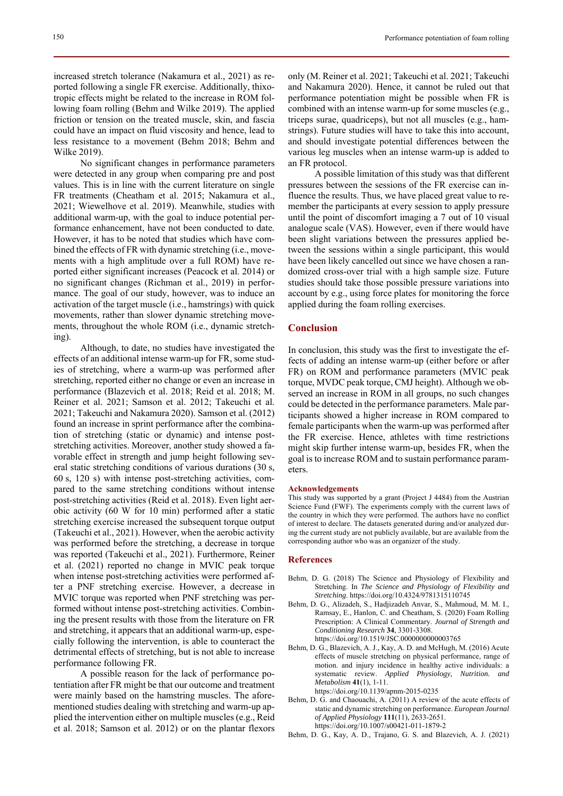No significant changes in performance parameters were detected in any group when comparing pre and post values. This is in line with the current literature on single FR treatments (Cheatham et al. 2015; Nakamura et al., 2021; Wiewelhove et al. 2019). Meanwhile, studies with additional warm-up, with the goal to induce potential performance enhancement, have not been conducted to date. However, it has to be noted that studies which have combined the effects of FR with dynamic stretching (i.e., movements with a high amplitude over a full ROM) have reported either significant increases (Peacock et al. 2014) or no significant changes (Richman et al., 2019) in performance. The goal of our study, however, was to induce an activation of the target muscle (i.e., hamstrings) with quick movements, rather than slower dynamic stretching movements, throughout the whole ROM (i.e., dynamic stretching).

Although, to date, no studies have investigated the effects of an additional intense warm-up for FR, some studies of stretching, where a warm-up was performed after stretching, reported either no change or even an increase in performance (Blazevich et al. 2018; Reid et al. 2018; M. Reiner et al. 2021; Samson et al. 2012; Takeuchi et al. 2021; Takeuchi and Nakamura 2020). Samson et al. (2012) found an increase in sprint performance after the combination of stretching (static or dynamic) and intense poststretching activities. Moreover, another study showed a favorable effect in strength and jump height following several static stretching conditions of various durations (30 s, 60 s, 120 s) with intense post-stretching activities, compared to the same stretching conditions without intense post-stretching activities (Reid et al. 2018). Even light aerobic activity (60 W for 10 min) performed after a static stretching exercise increased the subsequent torque output (Takeuchi et al., 2021). However, when the aerobic activity was performed before the stretching, a decrease in torque was reported (Takeuchi et al., 2021). Furthermore, Reiner et al. (2021) reported no change in MVIC peak torque when intense post-stretching activities were performed after a PNF stretching exercise. However, a decrease in MVIC torque was reported when PNF stretching was performed without intense post-stretching activities. Combining the present results with those from the literature on FR and stretching, it appears that an additional warm-up, especially following the intervention, is able to counteract the detrimental effects of stretching, but is not able to increase performance following FR.

A possible reason for the lack of performance potentiation after FR might be that our outcome and treatment were mainly based on the hamstring muscles. The aforementioned studies dealing with stretching and warm-up applied the intervention either on multiple muscles (e.g., Reid et al. 2018; Samson et al. 2012) or on the plantar flexors only (M. Reiner et al. 2021; Takeuchi et al. 2021; Takeuchi and Nakamura 2020). Hence, it cannot be ruled out that performance potentiation might be possible when FR is combined with an intense warm-up for some muscles (e.g., triceps surae, quadriceps), but not all muscles (e.g., hamstrings). Future studies will have to take this into account, and should investigate potential differences between the various leg muscles when an intense warm-up is added to an FR protocol.

A possible limitation of this study was that different pressures between the sessions of the FR exercise can influence the results. Thus, we have placed great value to remember the participants at every session to apply pressure until the point of discomfort imaging a 7 out of 10 visual analogue scale (VAS). However, even if there would have been slight variations between the pressures applied between the sessions within a single participant, this would have been likely cancelled out since we have chosen a randomized cross-over trial with a high sample size. Future studies should take those possible pressure variations into account by e.g., using force plates for monitoring the force applied during the foam rolling exercises.

## **Conclusion**

In conclusion, this study was the first to investigate the effects of adding an intense warm-up (either before or after FR) on ROM and performance parameters (MVIC peak torque, MVDC peak torque, CMJ height). Although we observed an increase in ROM in all groups, no such changes could be detected in the performance parameters. Male participants showed a higher increase in ROM compared to female participants when the warm-up was performed after the FR exercise. Hence, athletes with time restrictions might skip further intense warm-up, besides FR, when the goal is to increase ROM and to sustain performance parameters.

#### **Acknowledgements**

This study was supported by a grant (Project J 4484) from the Austrian Science Fund (FWF). The experiments comply with the current laws of the country in which they were performed. The authors have no conflict of interest to declare. The datasets generated during and/or analyzed during the current study are not publicly available, but are available from the corresponding author who was an organizer of the study.

#### **References**

- Behm, D. G. (2018) The Science and Physiology of Flexibility and Stretching. In *The Science and Physiology of Flexibility and Stretching*. https://doi.org/10.4324/9781315110745
- Behm, D. G., Alizadeh, S., Hadjizadeh Anvar, S., Mahmoud, M. M. I., Ramsay, E., Hanlon, C. and Cheatham, S. (2020) Foam Rolling Prescription: A Clinical Commentary. *Journal of Strength and Conditioning Research* **34**, 3301-3308. https://doi.org/10.1519/JSC.0000000000003765
- Behm, D. G., Blazevich, A. J., Kay, A. D. and McHugh, M. (2016) Acute effects of muscle stretching on physical performance, range of motion. and injury incidence in healthy active individuals: a systematic review. *Applied Physiology, Nutrition. and Metabolism* **41**(1), 1-11. https://doi.org/10.1139/apnm-2015-0235
- Behm, D. G. and Chaouachi, A. (2011) A review of the acute effects of static and dynamic stretching on performance. *European Journal of Applied Physiology* **111**(11), 2633-2651. https://doi.org/10.1007/s00421-011-1879-2
- Behm, D. G., Kay, A. D., Trajano, G. S. and Blazevich, A. J. (2021)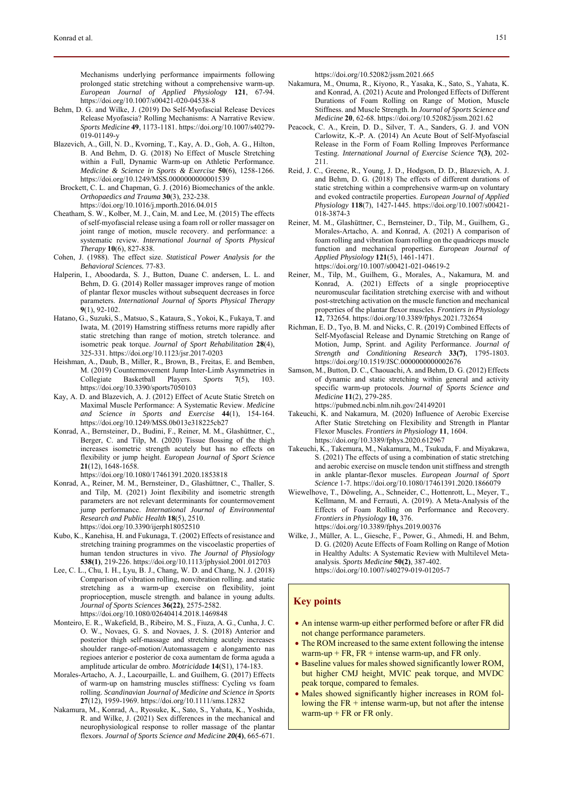Mechanisms underlying performance impairments following prolonged static stretching without a comprehensive warm-up. *European Journal of Applied Physiology* **121**, 67-94. https://doi.org/10.1007/s00421-020-04538-8

- Behm, D. G. and Wilke, J. (2019) Do Self-Myofascial Release Devices Release Myofascia? Rolling Mechanisms: A Narrative Review. *Sports Medicine* **49**, 1173-1181. https://doi.org/10.1007/s40279- 019-01149-y
- Blazevich, A., Gill, N. D., Kvorning, T., Kay, A. D., Goh, A. G., Hilton, B. And Behm, D. G. (2018) No Effect of Muscle Stretching within a Full, Dynamic Warm-up on Athletic Performance. *Medicine & Science in Sports & Exercise* **50**(6), 1258-1266. https://doi.org/10.1249/MSS.0000000000001539
- Brockett, C. L. and Chapman, G. J. (2016) Biomechanics of the ankle. *Orthopaedics and Trauma* **30**(3), 232-238. https://doi.org/10.1016/j.mporth.2016.04.015
- Cheatham, S. W., Kolber, M. J., Cain, M. and Lee, M. (2015) The effects of self‐myofascial release using a foam roll or roller massager on joint range of motion, muscle recovery. and performance: a systematic review. *International Journal of Sports Physical Therapy* **10**(6), 827-838.
- Cohen, J. (1988). The effect size. *Statistical Power Analysis for the Behavioral Sciences.* 77-83.
- Halperin, I., Aboodarda, S. J., Button, Duane C. andersen, L. L. and Behm, D. G. (2014) Roller massager improves range of motion of plantar flexor muscles without subsequent decreases in force parameters. *International Journal of Sports Physical Therapy*  **9**(1), 92-102.
- Hatano, G., Suzuki, S., Matsuo, S., Kataura, S., Yokoi, K., Fukaya, T. and Iwata, M. (2019) Hamstring stiffness returns more rapidly after static stretching than range of motion, stretch tolerance. and isometric peak torque. *Journal of Sport Rehabilitation* **28**(4), 325-331. https://doi.org/10.1123/jsr.2017-0203
- Heishman, A., Daub, B., Miller, R., Brown, B., Freitas, E. and Bemben, M. (2019) Countermovement Jump Inter-Limb Asymmetries in Collegiate Basketball Players. *Sports* **7**(5), 103. https://doi.org/10.3390/sports7050103
- Kay, A. D. and Blazevich, A. J. (2012) Effect of Acute Static Stretch on Maximal Muscle Performance: A Systematic Review. *Medicine and Science in Sports and Exercise* **44**(1), 154-164. https://doi.org/10.1249/MSS.0b013e318225cb27
- Konrad, A., Bernsteiner, D., Budini, F., Reiner, M. M., Glashüttner, C., Berger, C. and Tilp, M. (2020) Tissue flossing of the thigh increases isometric strength acutely but has no effects on flexibility or jump height. *European Journal of Sport Science* **21**(12), 1648-1658.
	- https://doi.org/10.1080/17461391.2020.1853818
- Konrad, A., Reiner, M. M., Bernsteiner, D., Glashüttner, C., Thaller, S. and Tilp, M. (2021) Joint flexibility and isometric strength parameters are not relevant determinants for countermovement jump performance. *International Journal of Environmental Research and Public Health* **18**(5), 2510. https://doi.org/10.3390/ijerph18052510
- Kubo, K., Kanehisa, H. and Fukunaga, T. (2002) Effects of resistance and stretching training programmes on the viscoelastic properties of human tendon structures in vivo. *The Journal of Physiology* **538(1)**, 219-226. https://doi.org/10.1113/jphysiol.2001.012703
- Lee, C. L., Chu, I. H., Lyu, B. J., Chang, W. D. and Chang, N. J. (2018) Comparison of vibration rolling, nonvibration rolling. and static stretching as a warm-up exercise on flexibility, joint proprioception, muscle strength. and balance in young adults. *Journal of Sports Sciences* **36(22)**, 2575-2582. https://doi.org/10.1080/02640414.2018.1469848
- Monteiro, E. R., Wakefield, B., Ribeiro, M. S., Fiuza, A. G., Cunha, J. C. O. W., Novaes, G. S. and Novaes, J. S. (2018) Anterior and posterior thigh self-massage and stretching acutely increases shoulder range-of-motion/Automassagem e alongamento nas regioes anterior e posterior de coxa aumentam de forma aguda a amplitude articular de ombro. *Motricidade* **14**(S1), 174-183.
- Morales-Artacho, A. J., Lacourpaille, L. and Guilhem, G. (2017) Effects of warm-up on hamstring muscles stiffness: Cycling vs foam rolling. *Scandinavian Journal of Medicine and Science in Sports* **27**(12), 1959-1969. https://doi.org/10.1111/sms.12832
- Nakamura, M., Konrad, A., Ryosuke, K., Sato, S., Yahata, K., Yoshida, R. and Wilke, J. (2021) Sex differences in the mechanical and neurophysiological response to roller massage of the plantar flexors. *Journal of Sports Science and Medicine 20***(4)**, 665-671.

https://doi.org/10.52082/jssm.2021.665

- Nakamura, M., Onuma, R., Kiyono, R., Yasaka, K., Sato, S., Yahata, K. and Konrad, A. (2021) Acute and Prolonged Effects of Different Durations of Foam Rolling on Range of Motion, Muscle Stiffness. and Muscle Strength. In *Journal of Sports Science and Medicine* **20**, 62-68. https://doi.org/10.52082/jssm.2021.62
- Peacock, C. A., Krein, D. D., Silver, T. A., Sanders, G. J. and VON Carlowitz, K.-P. A. (2014) An Acute Bout of Self-Myofascial Release in the Form of Foam Rolling Improves Performance Testing. *International Journal of Exercise Science* **7(3)**, 202- 211.
- Reid, J. C., Greene, R., Young, J. D., Hodgson, D. D., Blazevich, A. J. and Behm, D. G. (2018) The effects of different durations of static stretching within a comprehensive warm-up on voluntary and evoked contractile properties. *European Journal of Applied Physiology* **118**(7), 1427-1445. https://doi.org/10.1007/s00421- 018-3874-3
- Reiner, M. M., Glashüttner, C., Bernsteiner, D., Tilp, M., Guilhem, G., Morales-Artacho, A. and Konrad, A. (2021) A comparison of foam rolling and vibration foam rolling on the quadriceps muscle function and mechanical properties. *European Journal of Applied Physiology* **121**(5), 1461-1471. https://doi.org/10.1007/s00421-021-04619-2
- Reiner, M., Tilp, M., Guilhem, G., Morales, A., Nakamura, M. and Konrad, A. (2021) Effects of a single proprioceptive neuromuscular facilitation stretching exercise with and without post-stretching activation on the muscle function and mechanical properties of the plantar flexor muscles. *Frontiers in Physiology* **12**, 732654. https://doi.org/10.3389/fphys.2021.732654
- Richman, E. D., Tyo, B. M. and Nicks, C. R. (2019) Combined Effects of Self-Myofascial Release and Dynamic Stretching on Range of Motion, Jump, Sprint. and Agility Performance. *Journal of Strength and Conditioning Research* **33(7)**, 1795-1803. https://doi.org/10.1519/JSC.00000000000002676
- Samson, M., Button, D. C., Chaouachi, A. and Behm, D. G. (2012) Effects of dynamic and static stretching within general and activity specific warm-up protocols. *Journal of Sports Science and Medicine* **11**(2), 279-285.

https://pubmed.ncbi.nlm.nih.gov/24149201

- Takeuchi, K. and Nakamura, M. (2020) Influence of Aerobic Exercise After Static Stretching on Flexibility and Strength in Plantar Flexor Muscles. *Frontiers in Physiology* **11**, 1604. https://doi.org/10.3389/fphys.2020.612967
- Takeuchi, K., Takemura, M., Nakamura, M., Tsukuda, F. and Miyakawa, S. (2021) The effects of using a combination of static stretching and aerobic exercise on muscle tendon unit stiffness and strength in ankle plantar-flexor muscles. *European Journal of Sport Science* 1-7. https://doi.org/10.1080/17461391.2020.1866079
- Wiewelhove, T., Döweling, A., Schneider, C., Hottenrott, L., Meyer, T., Kellmann, M. and Ferrauti, A. (2019). A Meta-Analysis of the Effects of Foam Rolling on Performance and Recovery. *Frontiers in Physiology* **10,** 376. https://doi.org/10.3389/fphys.2019.00376
- Wilke, J., Müller, A. L., Giesche, F., Power, G., Ahmedi, H. and Behm, D. G. (2020) Acute Effects of Foam Rolling on Range of Motion in Healthy Adults: A Systematic Review with Multilevel Metaanalysis. *Sports Medicine* **50(2)**, 387-402. https://doi.org/10.1007/s40279-019-01205-7

## **Key points**

- An intense warm-up either performed before or after FR did not change performance parameters.
- The ROM increased to the same extent following the intense warm-up  $+ FR$ ,  $FR +$  intense warm-up, and  $FR$  only.
- Baseline values for males showed significantly lower ROM, but higher CMJ height, MVIC peak torque, and MVDC peak torque, compared to females.
- Males showed significantly higher increases in ROM following the  $FR +$  intense warm-up, but not after the intense warm-up  $+$  FR or FR only.